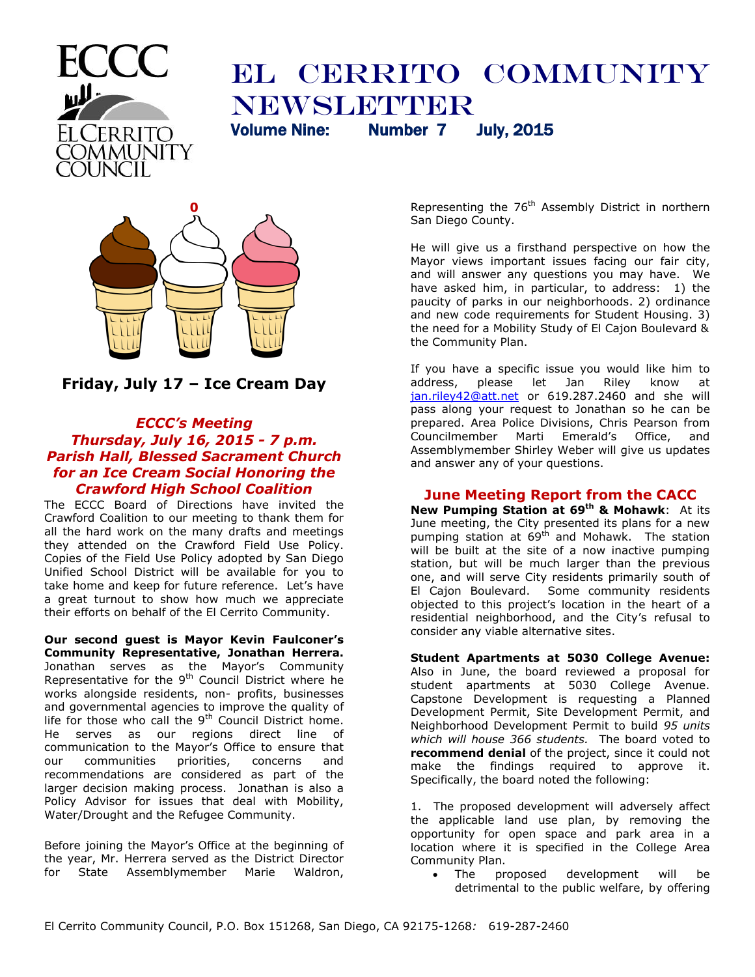

# EL CERRITO COMMUNITY Newsletter Volume Nine: Number 7 July, 2015



**Friday, July 17 – Ice Cream Day**

## *ECCC's Meeting Thursday, July 16, 2015 - 7 p.m. Parish Hall, Blessed Sacrament Church for an Ice Cream Social Honoring the Crawford High School Coalition*

The ECCC Board of Directions have invited the Crawford Coalition to our meeting to thank them for all the hard work on the many drafts and meetings they attended on the Crawford Field Use Policy. Copies of the Field Use Policy adopted by San Diego Unified School District will be available for you to take home and keep for future reference. Let's have a great turnout to show how much we appreciate their efforts on behalf of the El Cerrito Community.

**Our second guest is Mayor Kevin Faulconer's Community Representative, Jonathan Herrera.** Jonathan serves as the Mayor's Community Representative for the 9<sup>th</sup> Council District where he works alongside residents, non- profits, businesses and governmental agencies to improve the quality of life for those who call the  $9<sup>th</sup>$  Council District home. He serves as our regions direct line of communication to the Mayor's Office to ensure that our communities priorities, concerns and recommendations are considered as part of the larger decision making process. Jonathan is also a Policy Advisor for issues that deal with Mobility, Water/Drought and the Refugee Community.

Before joining the Mayor's Office at the beginning of the year, Mr. Herrera served as the District Director for State Assemblymember Marie Waldron,

Representing the 76<sup>th</sup> Assembly District in northern San Diego County.

He will give us a firsthand perspective on how the Mayor views important issues facing our fair city, and will answer any questions you may have. We have asked him, in particular, to address: 1) the paucity of parks in our neighborhoods. 2) ordinance and new code requirements for Student Housing. 3) the need for a Mobility Study of El Cajon Boulevard & the Community Plan.

If you have a specific issue you would like him to address, please let Jan Riley know at [jan.riley42@att.net](mailto:jan.riley42@att.net) or 619.287.2460 and she will pass along your request to Jonathan so he can be prepared. Area Police Divisions, Chris Pearson from Councilmember Marti Emerald's Office, and Assemblymember Shirley Weber will give us updates and answer any of your questions.

# **June Meeting Report from the CACC**

**New Pumping Station at 69th & Mohawk**: At its June meeting, the City presented its plans for a new pumping station at 69<sup>th</sup> and Mohawk. The station will be built at the site of a now inactive pumping station, but will be much larger than the previous one, and will serve City residents primarily south of El Cajon Boulevard. Some community residents objected to this project's location in the heart of a residential neighborhood, and the City's refusal to consider any viable alternative sites.

**Student Apartments at 5030 College Avenue:** Also in June, the board reviewed a proposal for student apartments at 5030 College Avenue. Capstone Development is requesting a Planned Development Permit, Site Development Permit, and Neighborhood Development Permit to build *95 units which will house 366 students.* The board voted to **recommend denial** of the project, since it could not make the findings required to approve it. Specifically, the board noted the following:

1. The proposed development will adversely affect the applicable land use plan, by removing the opportunity for open space and park area in a location where it is specified in the College Area Community Plan.

 The proposed development will be detrimental to the public welfare, by offering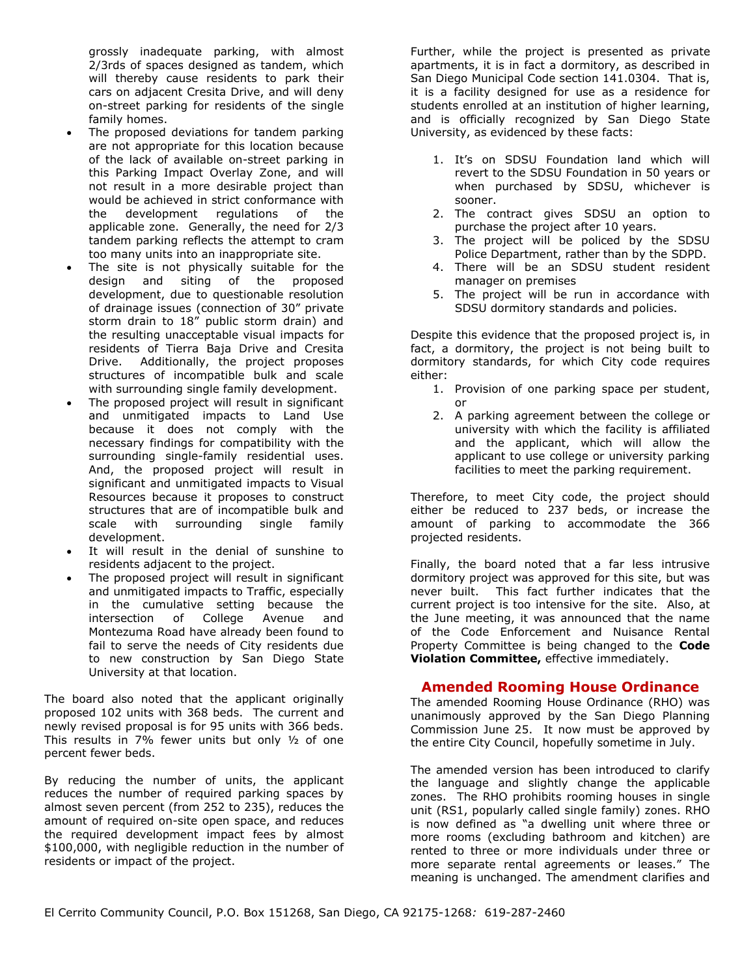grossly inadequate parking, with almost 2/3rds of spaces designed as tandem, which will thereby cause residents to park their cars on adjacent Cresita Drive, and will deny on-street parking for residents of the single family homes.

- The proposed deviations for tandem parking are not appropriate for this location because of the lack of available on-street parking in this Parking Impact Overlay Zone, and will not result in a more desirable project than would be achieved in strict conformance with the development regulations of the applicable zone. Generally, the need for 2/3 tandem parking reflects the attempt to cram too many units into an inappropriate site.
- The site is not physically suitable for the design and siting of the proposed design and siting of the development, due to questionable resolution of drainage issues (connection of 30" private storm drain to 18" public storm drain) and the resulting unacceptable visual impacts for residents of Tierra Baja Drive and Cresita Drive. Additionally, the project proposes structures of incompatible bulk and scale with surrounding single family development.
- The proposed project will result in significant and unmitigated impacts to Land Use because it does not comply with the necessary findings for compatibility with the surrounding single-family residential uses. And, the proposed project will result in significant and unmitigated impacts to Visual Resources because it proposes to construct structures that are of incompatible bulk and scale with surrounding single family development.
- It will result in the denial of sunshine to residents adjacent to the project.
- The proposed project will result in significant and unmitigated impacts to Traffic, especially in the cumulative setting because the intersection of College Avenue and Montezuma Road have already been found to fail to serve the needs of City residents due to new construction by San Diego State University at that location.

The board also noted that the applicant originally proposed 102 units with 368 beds. The current and newly revised proposal is for 95 units with 366 beds. This results in 7% fewer units but only ½ of one percent fewer beds.

By reducing the number of units, the applicant reduces the number of required parking spaces by almost seven percent (from 252 to 235), reduces the amount of required on-site open space, and reduces the required development impact fees by almost \$100,000, with negligible reduction in the number of residents or impact of the project.

Further, while the project is presented as private apartments, it is in fact a dormitory, as described in San Diego Municipal Code section 141.0304. That is, it is a facility designed for use as a residence for students enrolled at an institution of higher learning, and is officially recognized by San Diego State University, as evidenced by these facts:

- 1. It's on SDSU Foundation land which will revert to the SDSU Foundation in 50 years or when purchased by SDSU, whichever is sooner.
- 2. The contract gives SDSU an option to purchase the project after 10 years.
- 3. The project will be policed by the SDSU Police Department, rather than by the SDPD.
- 4. There will be an SDSU student resident manager on premises
- 5. The project will be run in accordance with SDSU dormitory standards and policies.

Despite this evidence that the proposed project is, in fact, a dormitory, the project is not being built to dormitory standards, for which City code requires either:

- 1. Provision of one parking space per student, or
- 2. A parking agreement between the college or university with which the facility is affiliated and the applicant, which will allow the applicant to use college or university parking facilities to meet the parking requirement.

Therefore, to meet City code, the project should either be reduced to 237 beds, or increase the amount of parking to accommodate the 366 projected residents.

Finally, the board noted that a far less intrusive dormitory project was approved for this site, but was never built. This fact further indicates that the current project is too intensive for the site. Also, at the June meeting, it was announced that the name of the Code Enforcement and Nuisance Rental Property Committee is being changed to the **Code Violation Committee,** effective immediately.

## **Amended Rooming House Ordinance**

The amended Rooming House Ordinance (RHO) was unanimously approved by the San Diego Planning Commission June 25. It now must be approved by the entire City Council, hopefully sometime in July.

The amended version has been introduced to clarify the language and slightly change the applicable zones. The RHO prohibits rooming houses in single unit (RS1, popularly called single family) zones. RHO is now defined as "a dwelling unit where three or more rooms (excluding bathroom and kitchen) are rented to three or more individuals under three or more separate rental agreements or leases." The meaning is unchanged. The amendment clarifies and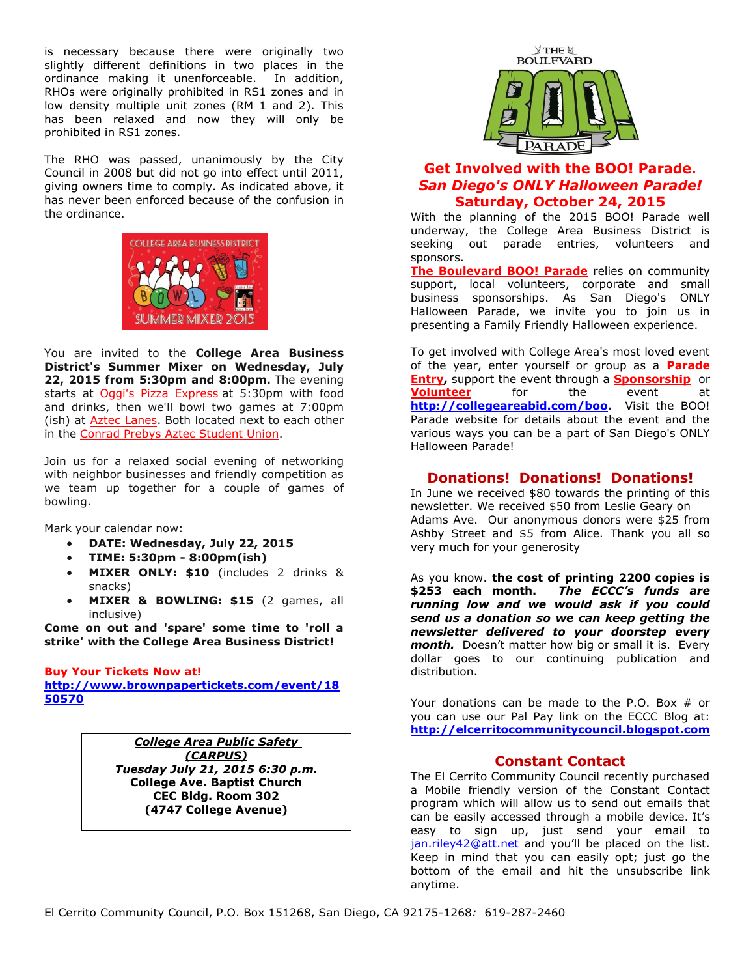is necessary because there were originally two slightly different definitions in two places in the ordinance making it unenforceable. In addition, RHOs were originally prohibited in RS1 zones and in low density multiple unit zones (RM 1 and 2). This has been relaxed and now they will only be prohibited in RS1 zones.

The RHO was passed, unanimously by the City Council in 2008 but did not go into effect until 2011, giving owners time to comply. As indicated above, it has never been enforced because of the confusion in the ordinance.



You are invited to the **College Area Business District's Summer Mixer on Wednesday, July 22, 2015 from 5:30pm and 8:00pm.** The evening starts at [Oggi's Pizza Express](http://r20.rs6.net/tn.jsp?f=001zbNSIlMy32xSvHDM44KNs7x4n8GmeIUYw3G4xPpyswG2XGvyV-exOLr4sFn_VFvP38NaoYnViZPgHOzAQP2WDwdWgw2hEP8lDr5qUbSz6KGD1PQeecfZLAUG2ou6OzzfiiUF3PzSIwJnVk1Bs9DmSBBzaeJo1Ox_MUc_QIpDNGrSuJafasLyXA==&c=Jhs6FESCPSZdjmGbRKYDN0P6ousSg2AEPVvlj1qdxkYHc6ItctZXoA==&ch=Lr3SDVTwYC0LPoOJr690Ru8ARrQZZQRrl0wqoc_DEdoyrYmAv9IIIg==) at 5:30pm with food and drinks, then we'll bowl two games at 7:00pm (ish) at [Aztec Lanes.](http://r20.rs6.net/tn.jsp?f=001zbNSIlMy32xSvHDM44KNs7x4n8GmeIUYw3G4xPpyswG2XGvyV-exOLr4sFn_VFvP5xwrh2HmXgFsfUHY8EhLlVlSE7aBpJUG7BP5k8Fl_nTKBcrHnB6sezBnY9dNjLyygBgQpZ0DC3Vif1489BXN_IdlLqK13G_J4vFXBkuJeh1FVvQXrrc3ij8zERSy4QQm&c=Jhs6FESCPSZdjmGbRKYDN0P6ousSg2AEPVvlj1qdxkYHc6ItctZXoA==&ch=Lr3SDVTwYC0LPoOJr690Ru8ARrQZZQRrl0wqoc_DEdoyrYmAv9IIIg==) Both located next to each other in the [Conrad Prebys Aztec Student Union.](http://r20.rs6.net/tn.jsp?f=001zbNSIlMy32xSvHDM44KNs7x4n8GmeIUYw3G4xPpyswG2XGvyV-exOLr4sFn_VFvPrf4CRI8rHTW1aR_2vamjtAaiEzeBNHonwFF3GyK1hE3jah9uNM0PGPZk3pDqFbN1KemO5YX1FwxA2hd4DNwdmQ5d38loZlEkHKLFa0H4nRDEb5_9WPdUTrjnmwcxEnPS3_O39lq8OJ4=&c=Jhs6FESCPSZdjmGbRKYDN0P6ousSg2AEPVvlj1qdxkYHc6ItctZXoA==&ch=Lr3SDVTwYC0LPoOJr690Ru8ARrQZZQRrl0wqoc_DEdoyrYmAv9IIIg==)

Join us for a relaxed social evening of networking with neighbor businesses and friendly competition as we team up together for a couple of games of bowling.

Mark your calendar now:

- **DATE: Wednesday, July 22, 2015**
- **TIME: 5:30pm - 8:00pm(ish)**
- **MIXER ONLY: \$10** (includes 2 drinks & snacks)
- **MIXER & BOWLING: \$15** (2 games, all inclusive)

**Come on out and 'spare' some time to 'roll a strike' with the College Area Business District!**

#### **[Buy Your Tickets Now](http://r20.rs6.net/tn.jsp?f=001zbNSIlMy32xSvHDM44KNs7x4n8GmeIUYw3G4xPpyswG2XGvyV-exOLjsPmd7t2889dBSzF96ypZYLJgGUyYvV6Uo5ES0ROsA9s2XcgYe44iQSXyx8mNJeWphQ9P1c4cfcfL2elRdbEbq4I88BbfIyFZp4CZefO9QRbM18SYigK-J1SmDPUlKg0n2Ks1q7IIV8ddazWb9OdY=&c=Jhs6FESCPSZdjmGbRKYDN0P6ousSg2AEPVvlj1qdxkYHc6ItctZXoA==&ch=Lr3SDVTwYC0LPoOJr690Ru8ARrQZZQRrl0wqoc_DEdoyrYmAv9IIIg==) at!**

**[http://www.brownpapertickets.com/event/18](http://www.brownpapertickets.com/event/1850570) [50570](http://www.brownpapertickets.com/event/1850570)**

> *College Area Public Safety (CARPUS) Tuesday July 21, 2015 6:30 p.m.* **College Ave. Baptist Church CEC Bldg. Room 302 (4747 College Avenue)**



## **Get Involved with the BOO! Parade.** *San Diego's ONLY Halloween Parade!* **Saturday, October 24, 2015**

With the planning of the 2015 BOO! Parade well underway, the College Area Business District is seeking out parade entries, volunteers and sponsors.

**[The Boulevard BOO! Parade](http://r20.rs6.net/tn.jsp?f=001zbNSIlMy32xSvHDM44KNs7x4n8GmeIUYw3G4xPpyswG2XGvyV-exOM3q08K5Dx_uYdAtvHBZd8I-JTgrNBQy54oCnavIOlr5ESFB8F9XuL0u5sy0JPlHuAEWztAv8cBNNuxaxykGUIeyFAwkFQSMdLOZky_riLJQ-Wnr1l9DKwVzuRNpZTR5rw==&c=Jhs6FESCPSZdjmGbRKYDN0P6ousSg2AEPVvlj1qdxkYHc6ItctZXoA==&ch=Lr3SDVTwYC0LPoOJr690Ru8ARrQZZQRrl0wqoc_DEdoyrYmAv9IIIg==)** relies on community support, local volunteers, corporate and small business sponsorships. As San Diego's ONLY Halloween Parade, we invite you to join us in presenting a Family Friendly Halloween experience.

To get involved with College Area's most loved event of the year, enter yourself or group as a **[Parade](http://r20.rs6.net/tn.jsp?f=001zbNSIlMy32xSvHDM44KNs7x4n8GmeIUYw3G4xPpyswG2XGvyV-exONSikDMA0nu3ihEhtaiJC8AWPYFSikozCam2siceAxryy25dl2ZdPlZMVpYZ9ueOKqOSBpZcrrE0809RlVfEDZ8cZRHaW5tPRjJTrMLRLIW5AsL39A5Odim1I7erx3636m4doigbLAk3LXJd-i0FMzc=&c=Jhs6FESCPSZdjmGbRKYDN0P6ousSg2AEPVvlj1qdxkYHc6ItctZXoA==&ch=Lr3SDVTwYC0LPoOJr690Ru8ARrQZZQRrl0wqoc_DEdoyrYmAv9IIIg==)  [Entry,](http://r20.rs6.net/tn.jsp?f=001zbNSIlMy32xSvHDM44KNs7x4n8GmeIUYw3G4xPpyswG2XGvyV-exONSikDMA0nu3ihEhtaiJC8AWPYFSikozCam2siceAxryy25dl2ZdPlZMVpYZ9ueOKqOSBpZcrrE0809RlVfEDZ8cZRHaW5tPRjJTrMLRLIW5AsL39A5Odim1I7erx3636m4doigbLAk3LXJd-i0FMzc=&c=Jhs6FESCPSZdjmGbRKYDN0P6ousSg2AEPVvlj1qdxkYHc6ItctZXoA==&ch=Lr3SDVTwYC0LPoOJr690Ru8ARrQZZQRrl0wqoc_DEdoyrYmAv9IIIg==)** support the event through a **[Sponsorship](http://r20.rs6.net/tn.jsp?f=001zbNSIlMy32xSvHDM44KNs7x4n8GmeIUYw3G4xPpyswG2XGvyV-exOIdXwsKzkOxu0ZHRRI5yw5lTsei3B7ser1iUWHj8PR11PM5u9I5ySJAY8SbmqWY73Tz8O4270z-Z0usUMO--FaPSp-qbw5wTD6Elb8czdOU-r0iTZhuK-oD8qCRpiw6Tt647T8n8pJdpLkEkNJ_GMFU=&c=Jhs6FESCPSZdjmGbRKYDN0P6ousSg2AEPVvlj1qdxkYHc6ItctZXoA==&ch=Lr3SDVTwYC0LPoOJr690Ru8ARrQZZQRrl0wqoc_DEdoyrYmAv9IIIg==)** or **[Volunteer](http://r20.rs6.net/tn.jsp?f=001zbNSIlMy32xSvHDM44KNs7x4n8GmeIUYw3G4xPpyswG2XGvyV-exONSikDMA0nu31zCu_crNW-_h8-awotkAr2ooqHItTY4LY4oJKO2PjLbZrp5-P7Ber6qkGhhyV_Uz-Qo399Z1DaZxEXiTE3CbLkpmt1WYzRg9077ZiHFQ0dGKDZcc9zsNskm08lgK4GgV12OAj95JcJE=&c=Jhs6FESCPSZdjmGbRKYDN0P6ousSg2AEPVvlj1qdxkYHc6ItctZXoA==&ch=Lr3SDVTwYC0LPoOJr690Ru8ARrQZZQRrl0wqoc_DEdoyrYmAv9IIIg==)** for the event at **[http://collegeareabid.com/boo.](http://collegeareabid.com/boo)** Visit the BOO! Parade website for details about the event and the various ways you can be a part of San Diego's ONLY Halloween Parade!

## **Donations! Donations! Donations!**

In June we received \$80 towards the printing of this newsletter. We received \$50 from Leslie Geary on Adams Ave. Our anonymous donors were \$25 from Ashby Street and \$5 from Alice. Thank you all so very much for your generosity

As you know. **the cost of printing 2200 copies is \$253 each month.** *The ECCC's funds are running low and we would ask if you could send us a donation so we can keep getting the newsletter delivered to your doorstep every month.* Doesn't matter how big or small it is. Every dollar goes to our continuing publication and distribution.

Your donations can be made to the P.O. Box  $#$  or you can use our Pal Pay link on the ECCC Blog at: **[http://elcerritocommunitycouncil.blogspot.com](http://elcerritocommunitycouncil.blogspot.com/)**

#### **Constant Contact**

The El Cerrito Community Council recently purchased a Mobile friendly version of the Constant Contact program which will allow us to send out emails that can be easily accessed through a mobile device. It's easy to sign up, just send your email to [jan.riley42@att.net](mailto:jan.riley42@att.net) and you'll be placed on the list. Keep in mind that you can easily opt; just go the bottom of the email and hit the unsubscribe link anytime.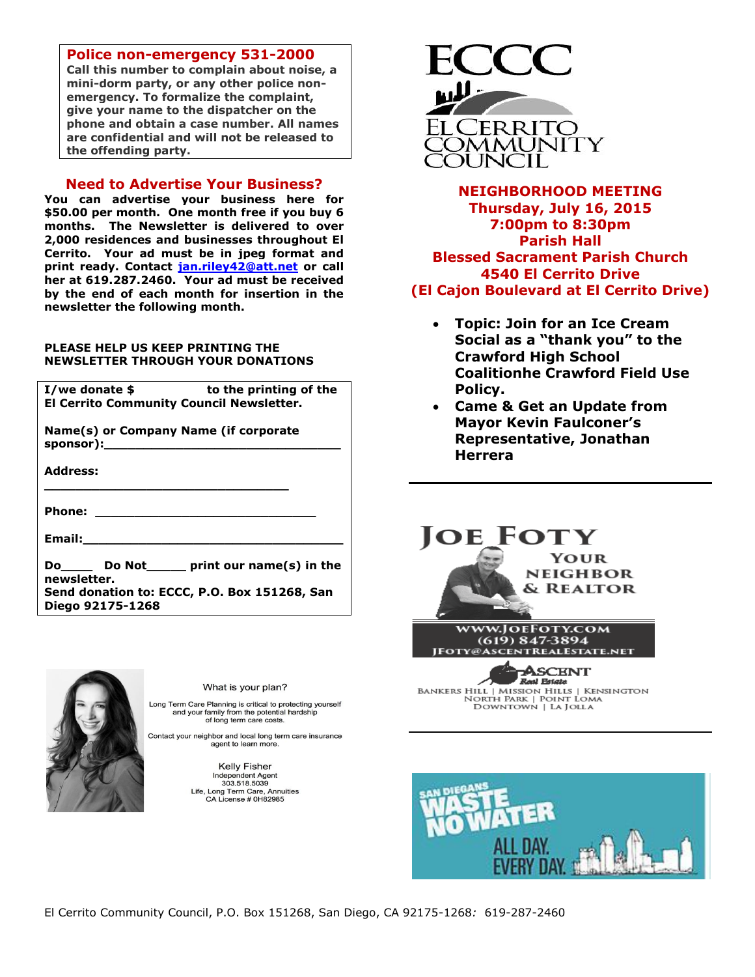#### **Police non-emergency 531-2000**

**Call this number to complain about noise, a mini-dorm party, or any other police nonemergency. To formalize the complaint, give your name to the dispatcher on the phone and obtain a case number. All names are confidential and will not be released to the offending party.**

#### **Need to Advertise Your Business?**

**You can advertise your business here for \$50.00 per month. One month free if you buy 6 months. The Newsletter is delivered to over 2,000 residences and businesses throughout El Cerrito. Your ad must be in jpeg format and print ready. Contact [jan.riley42@att.net](mailto:jan.riley42@att.net) or call her at 619.287.2460. Your ad must be received by the end of each month for insertion in the newsletter the following month.**

#### **PLEASE HELP US KEEP PRINTING THE NEWSLETTER THROUGH YOUR DONATIONS**

| to the printing of the<br>I/we donate \$        |
|-------------------------------------------------|
| <b>El Cerrito Community Council Newsletter.</b> |
| Name(s) or Company Name (if corporate           |
| <b>Address:</b>                                 |
|                                                 |
| <b>Email:</b> Email:                            |
| Do Do Not print our name(s) in the              |
| newsletter.                                     |
| Send donation to: ECCC, P.O. Box 151268, San    |
| Diego 92175-1268                                |



What is your plan?

Long Term Care Planning is critical to protecting yourself and your family from the potential hardship<br>of long term care costs.

Contact your neighbor and local long term care insurance agent to learn more.

> Kelly Fisher Independent Agent<br>303.518.5039 Life, Long Term Care, Annuities CA License # 0H82985



**NEIGHBORHOOD MEETING Thursday, July 16, 2015 7:00pm to 8:30pm Parish Hall Blessed Sacrament Parish Church 4540 El Cerrito Drive (El Cajon Boulevard at El Cerrito Drive)**

- **Topic: Join for an Ice Cream Social as a "thank you" to the Crawford High School Coalitionhe Crawford Field Use Policy.**
- **Came & Get an Update from Mayor Kevin Faulconer's Representative, Jonathan Herrera**